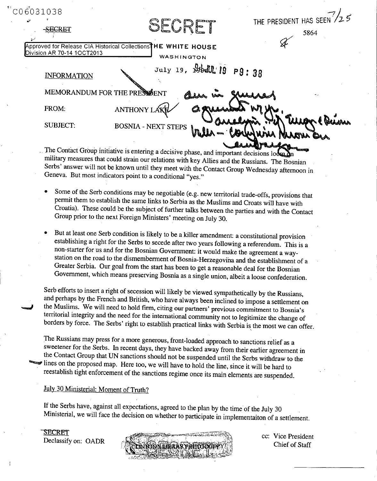| C06031038                                                 |                                                                                                     |                        |
|-----------------------------------------------------------|-----------------------------------------------------------------------------------------------------|------------------------|
|                                                           |                                                                                                     | THE PRESIDENT HAS SEEN |
| <b>SECRET</b>                                             | SECRET                                                                                              | 5864                   |
|                                                           |                                                                                                     |                        |
| Division AR 70-14 1OCT2013                                | Approved for Release CIA Historical Collections <sup>THE</sup> WHITE HOUSE                          |                        |
|                                                           | WASHINGTON                                                                                          |                        |
| <b>INFORMATION</b>                                        | July 19, Boddl'19 P9:38                                                                             |                        |
| MEMORANDUM FOR THE PRESSIGENT                             |                                                                                                     |                        |
| FROM:                                                     | ANTHONY LA                                                                                          |                        |
| <b>SUBJECT:</b>                                           | <b>BOSNIA - NEXT STEPS</b>                                                                          |                        |
|                                                           |                                                                                                     |                        |
|                                                           | The Contact Group initiative is entering a decisive phase, and important decisions loom $\lambda$ n |                        |
|                                                           | military measures that could strain our relations with key Allies and the Russians. The Bosnian     |                        |
|                                                           | Serbs' answer will not be known until they meet with the Contact Group Wednesday afternoon in       |                        |
| Geneva. But most indicators point to a conditional "yes." |                                                                                                     |                        |

- **" Some of the Serb conditions may be negotiable (e.g. new territorial trade-offs, provisions that permit them to establish the same links to Serbia as the Muslims and Croats will have with Croatia). These could be the subject of further talks between the parties and with the Contact Group prior to the next Foreign Ministers' meeting on July 30.**
- But at least one Serb condition is likely to be a killer amendment: a constitutional provision establishing a right for the Serbs to secede after two years following a referendum. This is a non-starter for us and for the B station on the road to the dismemberment of Bosnia-Herzegovina and the establishment of a Greater Serbia. Our goal from the start has been to get a reasonable deal for the Bosnian **Government, which means preserving Bosnia as a single union, albeit a loose confederation.**

Serb efforts to insert a right of secession will likely be viewed sympathetically by the Russians, and perhaps by the French and British, who have always been inclined to impose a settlement on the Muslims. We will need to

**The Russians may press for a more generous, front-loaded approach to sanctions relief as a** the Contact Group that UN sanctions should not be suspended until the Serbs withdraw to the<br>all lines on the proposed map. Here too, we will have to hold the line, since it will be hard to<br>reestablish tight enforcement of

## **July 30 Ministerial: Moment of Truth?**

**If the Serbs have, against all expectations, agreed to the plan by the time of the July 30 Ministerial, we will face the decision on whether to participate in implementaiton of a settlement.**

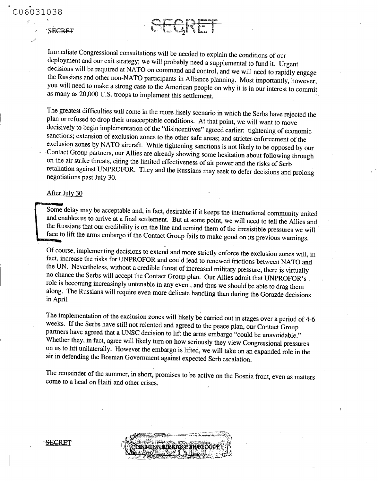## SECRET

**Immediate Congressional consultations will be needed to explain the conditions of our** decisions will be required at NATO on command and control, and we will need to rapidly engage the Russians and other non-NATO participants in Alliance planning. Most importantly, however, you will need to make a strong cas **as many as 20,000 U.S. troops to implement this settlement.**

SEGRE

The greatest difficulties will come in the more likely scenario in which the Serbs have rejected the plan or refused to drop their unacceptable conditions. At that point, we will want to move decisively to begin implementa **-Contact Group partners, our Allies are already showing some hesitation about following through** retaliation against UNPROFOR. They and the Russians may seek to defer decisions and prolong negotiations past July 30.

## **After July 30**

Some delay may be acceptable and, in fact, desirable if it keeps the international community united<br>and enables us to arrive at a final settlement. But at some point, we will need to tell the Allies and<br>the Russians that o

Of course, implementing decisions to extend and more strictly enforce the exclusion zones will, in fact, increase the risks for UNPROFOR and could lead to renewed frictions between NATO and the UN. Nevertheless, without a **along. The Russians will require even more delicate handling than during the Gorazde decisions in April.**

The implementation of the exclusion zones will likely be carried out in stages over a period of 4-6 weeks. If the Serbs have still not relented and agreed to the peace plan, our Contact Group partners have agreed that a UN on us to lift unilaterally. However the embargo is lifted, we will take on an expanded role in the air in defending the Bosnian Government against expected Serb escalation.

**The remainder of the summer, in short, promises to be active on the Bosnia front, even as matters come to a head on Haiti and other crises.**